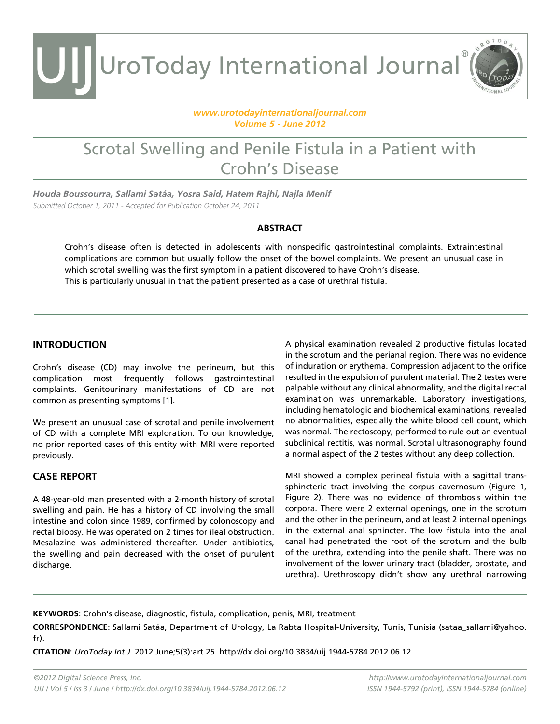UIJ UroToday International Journal®

#### *[www.urotodayinternationaljournal.com](http://www.urotodayinternationaljournal.com) Volume 5 - June 2012*

### Scrotal Swelling and Penile Fistula in a Patient with Crohn's Disease

*Houda Boussourra, Sallami Satáa, Yosra Said, Hatem Rajhi, Najla Menif* Submitted October 1, 2011 - Accepted for Publication October 24, 2011

#### **ABSTRACT**

Crohn's disease often is detected in adolescents with nonspecific gastrointestinal complaints. Extraintestinal complications are common but usually follow the onset of the bowel complaints. We present an unusual case in which scrotal swelling was the first symptom in a patient discovered to have Crohn's disease. This is particularly unusual in that the patient presented as a case of urethral fistula.

#### **INTRODUCTION**

Crohn's disease (CD) may involve the perineum, but this complication most frequently follows gastrointestinal complaints. Genitourinary manifestations of CD are not common as presenting symptoms [1].

We present an unusual case of scrotal and penile involvement of CD with a complete MRI exploration. To our knowledge, no prior reported cases of this entity with MRI were reported previously.

#### **CASE REPORT**

A 48-year-old man presented with a 2-month history of scrotal swelling and pain. He has a history of CD involving the small intestine and colon since 1989, confirmed by colonoscopy and rectal biopsy. He was operated on 2 times for ileal obstruction. Mesalazine was administered thereafter. Under antibiotics, the swelling and pain decreased with the onset of purulent discharge.

A physical examination revealed 2 productive fistulas located in the scrotum and the perianal region. There was no evidence of induration or erythema. Compression adjacent to the orifice resulted in the expulsion of purulent material. The 2 testes were palpable without any clinical abnormality, and the digital rectal examination was unremarkable. Laboratory investigations, including hematologic and biochemical examinations, revealed no abnormalities, especially the white blood cell count, which was normal. The rectoscopy, performed to rule out an eventual subclinical rectitis, was normal. Scrotal ultrasonography found a normal aspect of the 2 testes without any deep collection.

 $OTOD$ 

MRI showed a complex perineal fistula with a sagittal transsphincteric tract involving the corpus cavernosum (Figure 1, Figure 2). There was no evidence of thrombosis within the corpora. There were 2 external openings, one in the scrotum and the other in the perineum, and at least 2 internal openings in the external anal sphincter. The low fistula into the anal canal had penetrated the root of the scrotum and the bulb of the urethra, extending into the penile shaft. There was no involvement of the lower urinary tract (bladder, prostate, and urethra). Urethroscopy didn't show any urethral narrowing

**KEYWORDS**: Crohn's disease, diagnostic, fistula, complication, penis, MRI, treatment

**CORRESPONDENCE**: Sallami Satáa, Department of Urology, La Rabta Hospital-University, Tunis, Tunisia (sataa\_sallami@yahoo. fr).

**CITATION**: *UroToday Int J*. 2012 June;5(3):art 25. http://dx.doi.org/10.3834/uij.1944-5784.2012.06.12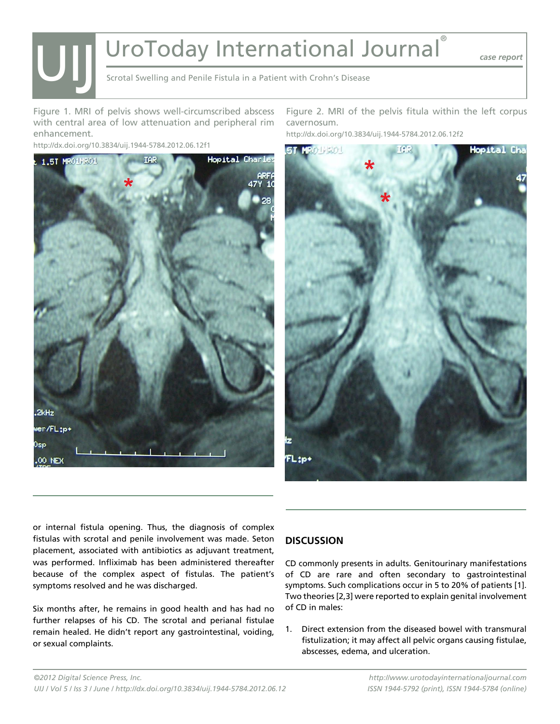# UroToday International Journal®

*case report*

Scrotal Swelling and Penile Fistula in a Patient with Crohn's Disease

Figure 1. MRI of pelvis shows well-circumscribed abscess with central area of low attenuation and peripheral rim enhancement.

http://dx.doi.org/10.3834/uij.1944-5784.2012.06.12f1

UIJ



Figure 2. MRI of the pelvis fitula within the left corpus cavernosum.

http://dx.doi.org/10.3834/uij.1944-5784.2012.06.12f2



or internal fistula opening. Thus, the diagnosis of complex fistulas with scrotal and penile involvement was made. Seton placement, associated with antibiotics as adjuvant treatment, was performed. Infliximab has been administered thereafter because of the complex aspect of fistulas. The patient's symptoms resolved and he was discharged.

Six months after, he remains in good health and has had no further relapses of his CD. The scrotal and perianal fistulae remain healed. He didn't report any gastrointestinal, voiding, or sexual complaints.

#### **DISCUSSION**

CD commonly presents in adults. Genitourinary manifestations of CD are rare and often secondary to gastrointestinal symptoms. Such complications occur in 5 to 20% of patients [1]. Two theories [2,3] were reported to explain genital involvement of CD in males:

1. Direct extension from the diseased bowel with transmural fistulization; it may affect all pelvic organs causing fistulae, abscesses, edema, and ulceration.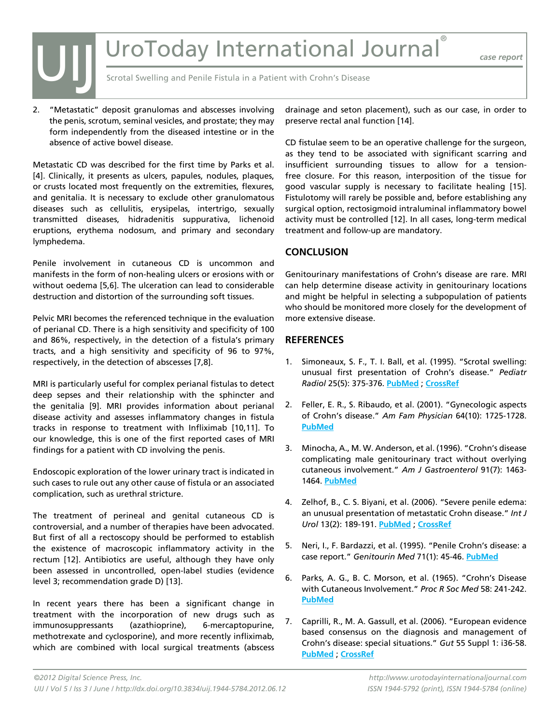## UroToday International Journal

*case report*

Scrotal Swelling and Penile Fistula in a Patient with Crohn's Disease

2. "Metastatic" deposit granulomas and abscesses involving the penis, scrotum, seminal vesicles, and prostate; they may form independently from the diseased intestine or in the absence of active bowel disease.

UIJ

Metastatic CD was described for the first time by Parks et al. [4]. Clinically, it presents as ulcers, papules, nodules, plaques, or crusts located most frequently on the extremities, flexures, and genitalia. It is necessary to exclude other granulomatous diseases such as cellulitis, erysipelas, intertrigo, sexually transmitted diseases, hidradenitis suppurativa, lichenoid eruptions, erythema nodosum, and primary and secondary lymphedema.

Penile involvement in cutaneous CD is uncommon and manifests in the form of non-healing ulcers or erosions with or without oedema [5,6]. The ulceration can lead to considerable destruction and distortion of the surrounding soft tissues.

Pelvic MRI becomes the referenced technique in the evaluation of perianal CD. There is a high sensitivity and specificity of 100 and 86%, respectively, in the detection of a fistula's primary tracts, and a high sensitivity and specificity of 96 to 97%, respectively, in the detection of abscesses [7,8].

MRI is particularly useful for complex perianal fistulas to detect deep sepses and their relationship with the sphincter and the genitalia [9]. MRI provides information about perianal disease activity and assesses inflammatory changes in fistula tracks in response to treatment with Infliximab [10,11]. To our knowledge, this is one of the first reported cases of MRI findings for a patient with CD involving the penis.

Endoscopic exploration of the lower urinary tract is indicated in such cases to rule out any other cause of fistula or an associated complication, such as urethral stricture.

The treatment of perineal and genital cutaneous CD is controversial, and a number of therapies have been advocated. But first of all a rectoscopy should be performed to establish the existence of macroscopic inflammatory activity in the rectum [12]. Antibiotics are useful, although they have only been assessed in uncontrolled, open-label studies (evidence level 3; recommendation grade D) [13].

In recent years there has been a significant change in treatment with the incorporation of new drugs such as immunosuppressants (azathioprine), 6-mercaptopurine, methotrexate and cyclosporine), and more recently infliximab, which are combined with local surgical treatments (abscess

drainage and seton placement), such as our case, in order to preserve rectal anal function [14].

CD fistulae seem to be an operative challenge for the surgeon, as they tend to be associated with significant scarring and insufficient surrounding tissues to allow for a tensionfree closure. For this reason, interposition of the tissue for good vascular supply is necessary to facilitate healing [15]. Fistulotomy will rarely be possible and, before establishing any surgical option, rectosigmoid intraluminal inflammatory bowel activity must be controlled [12]. In all cases, long-term medical treatment and follow-up are mandatory.

#### **CONCLUSION**

Genitourinary manifestations of Crohn's disease are rare. MRI can help determine disease activity in genitourinary locations and might be helpful in selecting a subpopulation of patients who should be monitored more closely for the development of more extensive disease.

#### **REFERENCES**

- 1. Simoneaux, S. F., T. I. Ball, et al. (1995). "Scrotal swelling: unusual first presentation of Crohn's disease." *Pediatr Radiol* 25(5): 375-376. **[PubMed](http://www.ncbi.nlm.nih.gov/entrez/query.fcgi?cmd=Retrieve&db=PubMed&list_uids=7567269=&dopt=Abstract)** ; **[CrossRef](http://dx.doi.org/10.1007/BF02021708)**
- 2. Feller, E. R., S. Ribaudo, et al. (2001). "Gynecologic aspects of Crohn's disease." *Am Fam Physician* 64(10): 1725-1728. **[PubMed](http://www.ncbi.nlm.nih.gov/entrez/query.fcgi?cmd=Retrieve&db=PubMed&list_uids=11759079=&dopt=Abstract)**
- 3. Minocha, A., M. W. Anderson, et al. (1996). "Crohn's disease complicating male genitourinary tract without overlying cutaneous involvement." *Am J Gastroenterol* 91(7): 1463- 1464. **[PubMed](http://www.ncbi.nlm.nih.gov/entrez/query.fcgi?cmd=Retrieve&db=PubMed&list_uids=8678022=&dopt=Abstract)**
- 4. Zelhof, B., C. S. Biyani, et al. (2006). "Severe penile edema: an unusual presentation of metastatic Crohn disease." *Int J Urol* 13(2): 189-191. **[PubMed](http://www.ncbi.nlm.nih.gov/entrez/query.fcgi?cmd=Retrieve&db=PubMed&list_uids=16563150=&dopt=Abstract)** ; **[CrossRef](http://dx.doi.org/10.1111/j.1442-2042.2006.01259.x)**
- 5. Neri, I., F. Bardazzi, et al. (1995). "Penile Crohn's disease: a case report." *Genitourin Med* 71(1): 45-46. **[PubMed](http://www.ncbi.nlm.nih.gov/entrez/query.fcgi?cmd=Retrieve&db=PubMed&list_uids=7750954=&dopt=Abstract)**
- 6. Parks, A. G., B. C. Morson, et al. (1965). "Crohn's Disease with Cutaneous Involvement." *Proc R Soc Med* 58: 241-242. **[PubMed](http://www.ncbi.nlm.nih.gov/entrez/query.fcgi?cmd=Retrieve&db=PubMed&list_uids=14263727=&dopt=Abstract)**
- 7. Caprilli, R., M. A. Gassull, et al. (2006). "European evidence based consensus on the diagnosis and management of Crohn's disease: special situations." *Gut* 55 Suppl 1: i36-58. **[PubMed](http://www.ncbi.nlm.nih.gov/entrez/query.fcgi?cmd=Retrieve&db=PubMed&list_uids=16481630=&dopt=Abstract)** ; **[CrossRef](http://dx.doi.org/10.1136/gut.2005.081950c)**